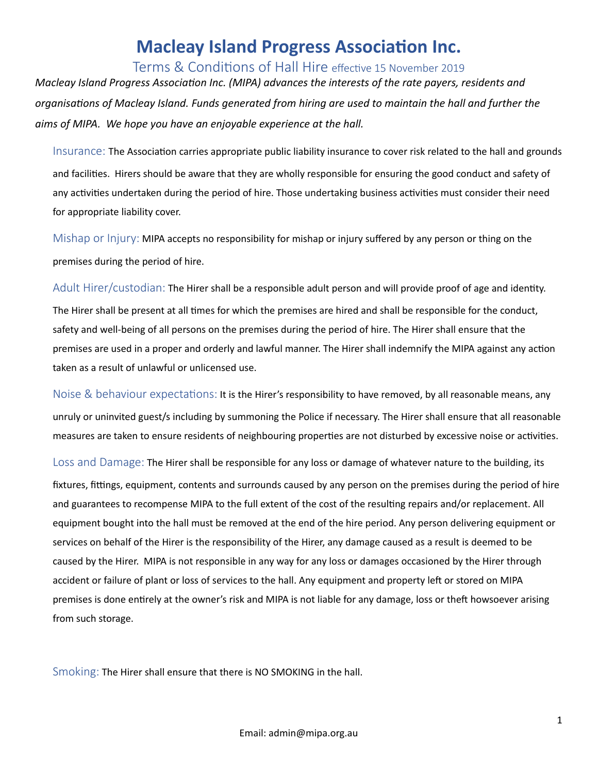## **Macleay Island Progress Association Inc.**

Terms & Conditions of Hall Hire effective 15 November 2019

*Macleay Island Progress Association Inc. (MIPA) advances the interests of the rate payers, residents and* organisations of Macleay Island. Funds generated from hiring are used to maintain the hall and further the aims of MIPA. We hope you have an enjoyable experience at the hall.

Insurance: The Association carries appropriate public liability insurance to cover risk related to the hall and grounds and facilities. Hirers should be aware that they are wholly responsible for ensuring the good conduct and safety of any activities undertaken during the period of hire. Those undertaking business activities must consider their need for appropriate liability cover.

Mishap or  $Injury$ : MIPA accepts no responsibility for mishap or injury suffered by any person or thing on the premises during the period of hire.

Adult Hirer/custodian: The Hirer shall be a responsible adult person and will provide proof of age and identity. The Hirer shall be present at all times for which the premises are hired and shall be responsible for the conduct, safety and well-being of all persons on the premises during the period of hire. The Hirer shall ensure that the premises are used in a proper and orderly and lawful manner. The Hirer shall indemnify the MIPA against any action taken as a result of unlawful or unlicensed use.

Noise & behaviour expectations: It is the Hirer's responsibility to have removed, by all reasonable means, any unruly or uninvited guest/s including by summoning the Police if necessary. The Hirer shall ensure that all reasonable measures are taken to ensure residents of neighbouring properties are not disturbed by excessive noise or activities.

Loss and Damage: The Hirer shall be responsible for any loss or damage of whatever nature to the building, its fixtures, fittings, equipment, contents and surrounds caused by any person on the premises during the period of hire and guarantees to recompense MIPA to the full extent of the cost of the resulting repairs and/or replacement. All equipment bought into the hall must be removed at the end of the hire period. Any person delivering equipment or services on behalf of the Hirer is the responsibility of the Hirer, any damage caused as a result is deemed to be caused by the Hirer. MIPA is not responsible in any way for any loss or damages occasioned by the Hirer through accident or failure of plant or loss of services to the hall. Any equipment and property left or stored on MIPA premises is done entirely at the owner's risk and MIPA is not liable for any damage, loss or theft howsoever arising from such storage.

Smoking: The Hirer shall ensure that there is NO SMOKING in the hall.